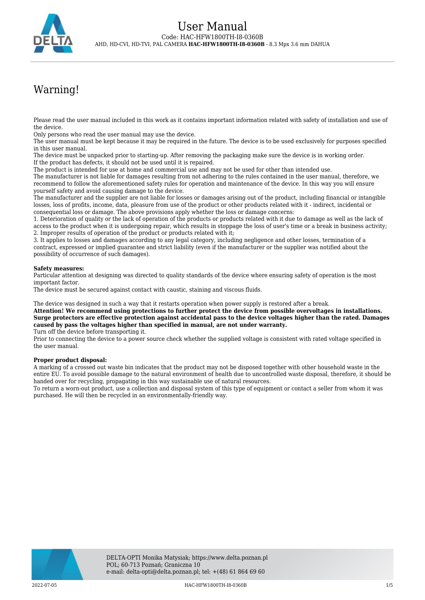

# Warning!

Please read the user manual included in this work as it contains important information related with safety of installation and use of the device.

Only persons who read the user manual may use the device.

The user manual must be kept because it may be required in the future. The device is to be used exclusively for purposes specified in this user manual.

The device must be unpacked prior to starting-up. After removing the packaging make sure the device is in working order. If the product has defects, it should not be used until it is repaired.

The product is intended for use at home and commercial use and may not be used for other than intended use.

The manufacturer is not liable for damages resulting from not adhering to the rules contained in the user manual, therefore, we recommend to follow the aforementioned safety rules for operation and maintenance of the device. In this way you will ensure yourself safety and avoid causing damage to the device.

The manufacturer and the supplier are not liable for losses or damages arising out of the product, including financial or intangible losses, loss of profits, income, data, pleasure from use of the product or other products related with it - indirect, incidental or consequential loss or damage. The above provisions apply whether the loss or damage concerns:

1. Deterioration of quality or the lack of operation of the products or products related with it due to damage as well as the lack of access to the product when it is undergoing repair, which results in stoppage the loss of user's time or a break in business activity; 2. Improper results of operation of the product or products related with it;

3. It applies to losses and damages according to any legal category, including negligence and other losses, termination of a contract, expressed or implied guarantee and strict liability (even if the manufacturer or the supplier was notified about the possibility of occurrence of such damages).

#### **Safety measures:**

Particular attention at designing was directed to quality standards of the device where ensuring safety of operation is the most important factor.

The device must be secured against contact with caustic, staining and viscous fluids.

The device was designed in such a way that it restarts operation when power supply is restored after a break.

**Attention! We recommend using protections to further protect the device from possible overvoltages in installations. Surge protectors are effective protection against accidental pass to the device voltages higher than the rated. Damages caused by pass the voltages higher than specified in manual, are not under warranty.**

Turn off the device before transporting it.

Prior to connecting the device to a power source check whether the supplied voltage is consistent with rated voltage specified in the user manual.

#### **Proper product disposal:**

A marking of a crossed out waste bin indicates that the product may not be disposed together with other household waste in the entire EU. To avoid possible damage to the natural environment of health due to uncontrolled waste disposal, therefore, it should be handed over for recycling, propagating in this way sustainable use of natural resources.

To return a worn-out product, use a collection and disposal system of this type of equipment or contact a seller from whom it was purchased. He will then be recycled in an environmentally-friendly way.

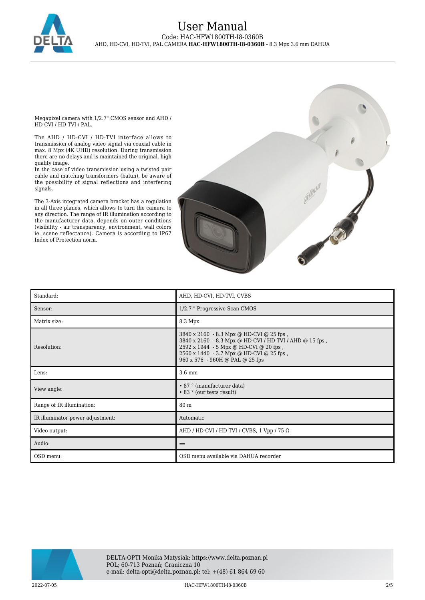

Megapixel camera with 1/2.7" CMOS sensor and AHD / HD-CVI / HD-TVI / PAL.

The AHD / HD-CVI / HD-TVI interface allows to transmission of analog video signal via coaxial cable in max. 8 Mpx (4K UHD) resolution. During transmission there are no delays and is maintained the original, high quality image.

In the case of video transmission using a twisted pair cable and matching transformers (balun), be aware of the possibility of signal reflections and interfering signals.

The 3-Axis integrated camera bracket has a regulation in all three planes, which allows to turn the camera to any direction. The range of IR illumination according to the manufacturer data, depends on outer conditions (visibility - air transparency, environment, wall colors ie. scene reflectance). Camera is according to IP67 Index of Protection norm.



| Standard:                        | AHD, HD-CVI, HD-TVI, CVBS                                                                                                                                                                                                    |
|----------------------------------|------------------------------------------------------------------------------------------------------------------------------------------------------------------------------------------------------------------------------|
| Sensor:                          | 1/2.7 " Progressive Scan CMOS                                                                                                                                                                                                |
| Matrix size:                     | 8.3 Mpx                                                                                                                                                                                                                      |
| Resolution:                      | 3840 x 2160 - 8.3 Mpx @ HD-CVI @ 25 fps,<br>3840 x 2160 - 8.3 Mpx @ HD-CVI / HD-TVI / AHD @ 15 fps,<br>2592 x 1944 - 5 Mpx @ HD-CVI @ 20 fps,<br>2560 x 1440 - 3.7 Mpx @ HD-CVI @ 25 fps,<br>960 x 576 - 960H @ PAL @ 25 fps |
| Lens:                            | 3.6 mm                                                                                                                                                                                                                       |
| View angle:                      | • 87 ° (manufacturer data)<br>• 83 ° (our tests result)                                                                                                                                                                      |
| Range of IR illumination:        | 80 m                                                                                                                                                                                                                         |
| IR illuminator power adjustment: | Automatic                                                                                                                                                                                                                    |
| Video output:                    | AHD / HD-CVI / HD-TVI / CVBS, 1 Vpp / 75 $\Omega$                                                                                                                                                                            |
| Audio:                           |                                                                                                                                                                                                                              |
| OSD menu:                        | OSD menu available via DAHUA recorder                                                                                                                                                                                        |

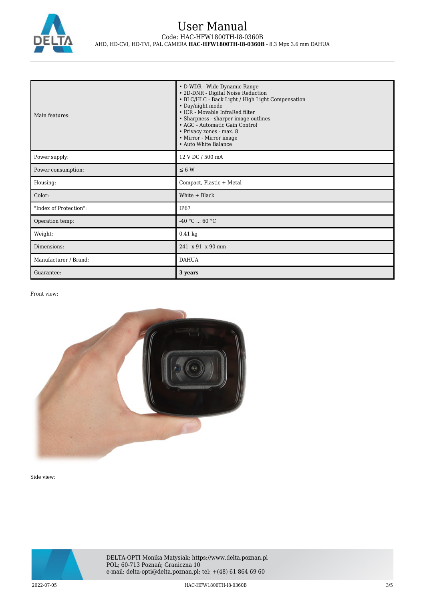

| Main features:         | • D-WDR - Wide Dynamic Range<br>• 2D-DNR - Digital Noise Reduction<br>• BLC/HLC - Back Light / High Light Compensation<br>• Day/night mode<br>• ICR - Movable InfraRed filter<br>• Sharpness - sharper image outlines<br>• AGC - Automatic Gain Control<br>• Privacy zones - max. 8<br>• Mirror - Mirror image<br>• Auto White Balance |
|------------------------|----------------------------------------------------------------------------------------------------------------------------------------------------------------------------------------------------------------------------------------------------------------------------------------------------------------------------------------|
| Power supply:          | 12 V DC / 500 mA                                                                                                                                                                                                                                                                                                                       |
| Power consumption:     | $\leq 6$ W                                                                                                                                                                                                                                                                                                                             |
| Housing:               | Compact, Plastic + Metal                                                                                                                                                                                                                                                                                                               |
| Color:                 | White $+$ Black                                                                                                                                                                                                                                                                                                                        |
| "Index of Protection": | <b>IP67</b>                                                                                                                                                                                                                                                                                                                            |
| Operation temp:        | $-40 °C  60 °C$                                                                                                                                                                                                                                                                                                                        |
| Weight:                | $0.41$ kg                                                                                                                                                                                                                                                                                                                              |
| Dimensions:            | 241 x 91 x 90 mm                                                                                                                                                                                                                                                                                                                       |
| Manufacturer / Brand:  | <b>DAHUA</b>                                                                                                                                                                                                                                                                                                                           |
| Guarantee:             | 3 years                                                                                                                                                                                                                                                                                                                                |

Front view:



Side view:

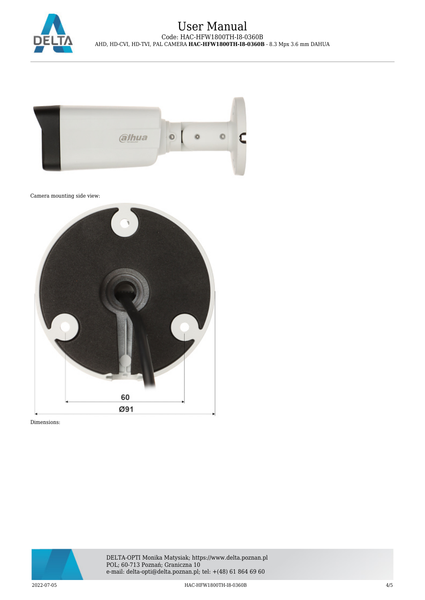



Camera mounting side view:



Dimensions: